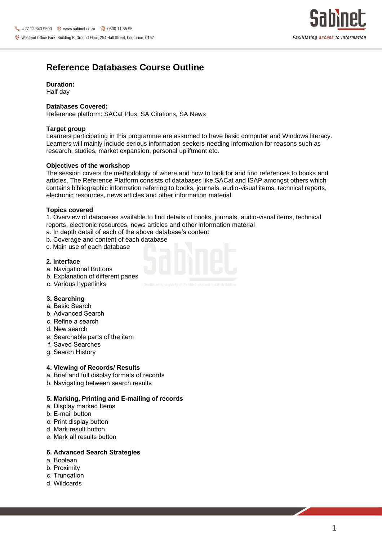

# **Reference Databases Course Outline**

### **Duration:**

Half day

### **Databases Covered:**

Reference platform: SACat Plus, SA Citations, SA News

# **Target group**

Learners participating in this programme are assumed to have basic computer and Windows literacy. Learners will mainly include serious information seekers needing information for reasons such as research, studies, market expansion, personal upliftment etc.

# **Objectives of the workshop**

The session covers the methodology of where and how to look for and find references to books and articles. The Reference Platform consists of databases like SACat and ISAP amongst others which contains bibliographic information referring to books, journals, audio-visual items, technical reports, electronic resources, news articles and other information material.

#### **Topics covered**

1. Overview of databases available to find details of books, journals, audio-visual items, technical reports, electronic resources, news articles and other information material

- a. In depth detail of each of the above database's content
- b. Coverage and content of each database
- c. Main use of each database

#### **2. Interface**

- a. Navigational Buttons
- b. Explanation of different panes
- c. Various hyperlinks

# **3. Searching**

- a. Basic Search
- b. Advanced Search
- c. Refine a search
- d. New search
- e. Searchable parts of the item
- f. Saved Searches
- g. Search History

#### **4. Viewing of Records/ Results**

- a. Brief and full display formats of records
- b. Navigating between search results

#### **5. Marking, Printing and E-mailing of records**

- a. Display marked Items
- b. E-mail button
- c. Print display button
- d. Mark result button
- e. Mark all results button

#### **6. Advanced Search Strategies**

- a. Boolean
- b. Proximity
- c. Truncation
- d. Wildcards